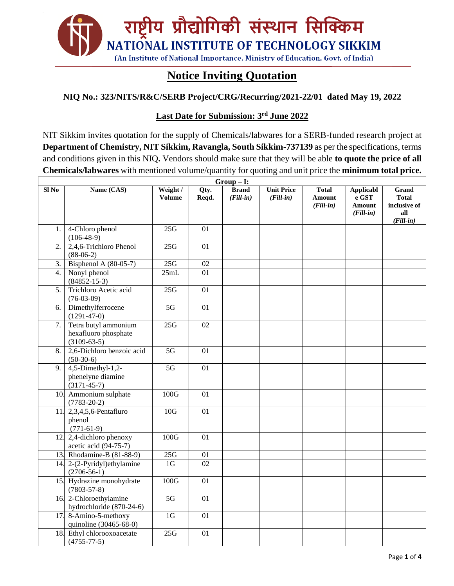

## **Notice Inviting Quotation**

#### **NIQ No.: 323/NITS/R&C/SERB Project/CRG/Recurring/2021-22/01 dated May 19, 2022**

#### **Last Date for Submission: 3 rd June 2022**

NIT Sikkim invites quotation for the supply of Chemicals/labwares for a SERB-funded research project at **Department of Chemistry, NIT Sikkim, Ravangla, South Sikkim-737139** as per the specifications, terms and conditions given in this NIQ**.** Vendors should make sure that they will be able **to quote the price of all Chemicals/labwares** with mentioned volume/quantity for quoting and unit price the **minimum total price.**

| $Group-I:$       |                                                                   |                           |                 |                             |                                  |                                       |                                                           |                                                             |  |  |  |
|------------------|-------------------------------------------------------------------|---------------------------|-----------------|-----------------------------|----------------------------------|---------------------------------------|-----------------------------------------------------------|-------------------------------------------------------------|--|--|--|
| Sl <sub>No</sub> | Name (CAS)                                                        | Weight /<br><b>Volume</b> | Qty.<br>Reqd.   | <b>Brand</b><br>$(Fill-in)$ | <b>Unit Price</b><br>$(Fill-in)$ | <b>Total</b><br>Amount<br>$(Fill-in)$ | <b>Applicabl</b><br>e GST<br><b>Amount</b><br>$(Fill-in)$ | Grand<br><b>Total</b><br>inclusive of<br>all<br>$(Fill-in)$ |  |  |  |
| 1.               | 4-Chloro phenol<br>$(106-48-9)$                                   | 25G                       | 01              |                             |                                  |                                       |                                                           |                                                             |  |  |  |
| 2.               | 2,4,6-Trichloro Phenol<br>$(88-06-2)$                             | 25G                       | 01              |                             |                                  |                                       |                                                           |                                                             |  |  |  |
| 3.               | Bisphenol A (80-05-7)                                             | 25G                       | 02              |                             |                                  |                                       |                                                           |                                                             |  |  |  |
| 4.               | Nonyl phenol<br>$(84852 - 15 - 3)$                                | 25mL                      | 01              |                             |                                  |                                       |                                                           |                                                             |  |  |  |
| 5.               | Trichloro Acetic acid<br>$(76-03-09)$                             | 25G                       | 01              |                             |                                  |                                       |                                                           |                                                             |  |  |  |
| 6.               | Dimethylferrocene<br>$(1291-47-0)$                                | $\overline{5G}$           | $\overline{01}$ |                             |                                  |                                       |                                                           |                                                             |  |  |  |
| 7.               | Tetra butyl ammonium<br>hexafluoro phosphate<br>$(3109 - 63 - 5)$ | 25G                       | 02              |                             |                                  |                                       |                                                           |                                                             |  |  |  |
| 8.               | 2,6-Dichloro benzoic acid<br>$(50-30-6)$                          | $\overline{5G}$           | 01              |                             |                                  |                                       |                                                           |                                                             |  |  |  |
| 9.               | $4,5$ -Dimethyl-1,2-<br>phenelyne diamine<br>$(3171 - 45 - 7)$    | 5G                        | 01              |                             |                                  |                                       |                                                           |                                                             |  |  |  |
|                  | 10. Ammonium sulphate<br>$(7783-20-2)$                            | 100G                      | 01              |                             |                                  |                                       |                                                           |                                                             |  |  |  |
|                  | 11. 2,3,4,5,6-Pentafluro<br>phenol<br>$(771-61-9)$                | 10G                       | 01              |                             |                                  |                                       |                                                           |                                                             |  |  |  |
|                  | 12. 2,4-dichloro phenoxy<br>acetic acid (94-75-7)                 | 100G                      | 01              |                             |                                  |                                       |                                                           |                                                             |  |  |  |
|                  | 13 Rhodamine-B (81-88-9)                                          | 25G                       | 01              |                             |                                  |                                       |                                                           |                                                             |  |  |  |
| 14.              | 2-(2-Pyridyl)ethylamine<br>$(2706-56-1)$                          | 1 <sub>G</sub>            | 02              |                             |                                  |                                       |                                                           |                                                             |  |  |  |
|                  | 15. Hydrazine monohydrate<br>$(7803 - 57 - 8)$                    | 100G                      | 01              |                             |                                  |                                       |                                                           |                                                             |  |  |  |
|                  | 16. 2-Chloroethylamine<br>hydrochloride (870-24-6)                | $\overline{5G}$           | 01              |                             |                                  |                                       |                                                           |                                                             |  |  |  |
| 17.              | 8-Amino-5-methoxy<br>quinoline (30465-68-0)                       | 1 <sub>G</sub>            | 01              |                             |                                  |                                       |                                                           |                                                             |  |  |  |
|                  | 18. Ethyl chlorooxoacetate<br>$(4755 - 77 - 5)$                   | 25G                       | 01              |                             |                                  |                                       |                                                           |                                                             |  |  |  |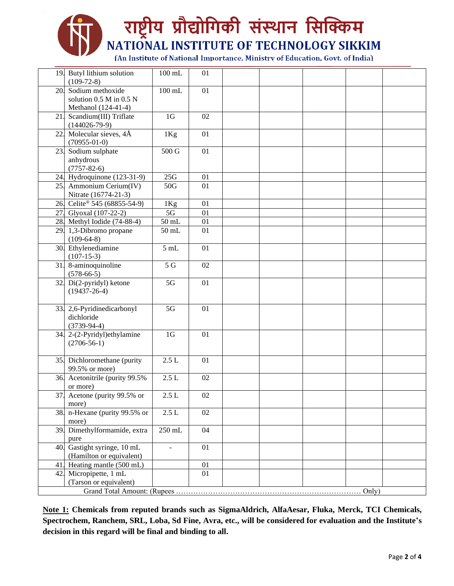# राष्ट्रीय प्रौद्योगिकी संस्थान सिक्किम NATIONAL INSTITUTE OF TECHNOLOGY SIKKIM (An Institute of National Importance, Ministry of Education, Govt. of India)

|                        | 19. Butyl lithium solution               | $100$ mL                 | 01 |  |  |  |  |  |  |  |  |
|------------------------|------------------------------------------|--------------------------|----|--|--|--|--|--|--|--|--|
|                        | $(109-72-8)$<br>Sodium methoxide         |                          |    |  |  |  |  |  |  |  |  |
| 20.                    | solution 0.5 M in 0.5 N                  | $100$ mL                 | 01 |  |  |  |  |  |  |  |  |
|                        | Methanol (124-41-4)                      |                          |    |  |  |  |  |  |  |  |  |
| 21.                    | Scandium(III) Triflate                   | 1 <sub>G</sub>           | 02 |  |  |  |  |  |  |  |  |
|                        | $(144026 - 79-9)$                        |                          |    |  |  |  |  |  |  |  |  |
| 22.                    | Molecular sieves, 4Å                     | 1Kg                      | 01 |  |  |  |  |  |  |  |  |
|                        | $(70955-01-0)$                           |                          |    |  |  |  |  |  |  |  |  |
| 23.                    | Sodium sulphate                          | 500 G                    | 01 |  |  |  |  |  |  |  |  |
|                        | anhydrous                                |                          |    |  |  |  |  |  |  |  |  |
|                        | $(7757 - 82 - 6)$                        |                          |    |  |  |  |  |  |  |  |  |
|                        | 24. Hydroquinone (123-31-9)              | 25G                      | 01 |  |  |  |  |  |  |  |  |
|                        | 25. Ammonium Cerium(IV)                  | 50G                      | 01 |  |  |  |  |  |  |  |  |
|                        | Nitrate (16774-21-3)                     |                          |    |  |  |  |  |  |  |  |  |
|                        | 26. Celite® 545 (68855-54-9)             | 1Kg                      | 01 |  |  |  |  |  |  |  |  |
|                        | 27. Glyoxal (107-22-2)                   | 5G                       | 01 |  |  |  |  |  |  |  |  |
|                        | 28. Methyl Iodide $(74-88-4)$            | $50 \mathrm{~mL}$        | 01 |  |  |  |  |  |  |  |  |
|                        | 29. 1,3-Dibromo propane                  | $50$ mL                  | 01 |  |  |  |  |  |  |  |  |
|                        | $(109-64-8)$                             |                          |    |  |  |  |  |  |  |  |  |
|                        | 30. Ethylenediamine                      | 5mL                      | 01 |  |  |  |  |  |  |  |  |
|                        | $(107-15-3)$                             |                          |    |  |  |  |  |  |  |  |  |
|                        | 31. 8-aminoquinoline                     | $\overline{5 \text{ G}}$ | 02 |  |  |  |  |  |  |  |  |
|                        | $(578-66-5)$                             |                          |    |  |  |  |  |  |  |  |  |
|                        | 32. $Di(2-pyridyl)$ ketone               | 5G                       | 01 |  |  |  |  |  |  |  |  |
|                        | $(19437 - 26 - 4)$                       |                          |    |  |  |  |  |  |  |  |  |
|                        |                                          | 5G                       |    |  |  |  |  |  |  |  |  |
|                        | 33. 2,6-Pyridinedicarbonyl<br>dichloride |                          | 01 |  |  |  |  |  |  |  |  |
|                        | $(3739-94-4)$                            |                          |    |  |  |  |  |  |  |  |  |
|                        | 34. 2-(2-Pyridyl)ethylamine              | 1 <sub>G</sub>           | 01 |  |  |  |  |  |  |  |  |
|                        | $(2706-56-1)$                            |                          |    |  |  |  |  |  |  |  |  |
|                        |                                          |                          |    |  |  |  |  |  |  |  |  |
|                        | 35. Dichloromethane (purity              | $2.5 L$                  | 01 |  |  |  |  |  |  |  |  |
|                        | 99.5% or more)                           |                          |    |  |  |  |  |  |  |  |  |
|                        | 36. Acetonitrile (purity 99.5%)          | $2.5 L$                  | 02 |  |  |  |  |  |  |  |  |
|                        | or more)                                 |                          |    |  |  |  |  |  |  |  |  |
|                        | 37 Acetone (purity 99.5% or              | $2.5 L$                  | 02 |  |  |  |  |  |  |  |  |
|                        | more)                                    |                          |    |  |  |  |  |  |  |  |  |
| 38.                    | n-Hexane (purity 99.5% or                | 2.5L                     | 02 |  |  |  |  |  |  |  |  |
|                        | more)                                    |                          |    |  |  |  |  |  |  |  |  |
| 39.                    | Dimethylformamide, extra                 | $\overline{2}50$ mL      | 04 |  |  |  |  |  |  |  |  |
|                        | pure                                     |                          |    |  |  |  |  |  |  |  |  |
| 40.                    | Gastight syringe, 10 mL                  | $\overline{a}$           | 01 |  |  |  |  |  |  |  |  |
|                        | (Hamilton or equivalent)                 |                          |    |  |  |  |  |  |  |  |  |
| 41                     | Heating mantle (500 mL)                  |                          | 01 |  |  |  |  |  |  |  |  |
| 42.                    | Micropipette, 1 mL                       |                          | 01 |  |  |  |  |  |  |  |  |
| (Tarson or equivalent) |                                          |                          |    |  |  |  |  |  |  |  |  |
|                        | Only)                                    |                          |    |  |  |  |  |  |  |  |  |

**Note 1: Chemicals from reputed brands such as SigmaAldrich, AlfaAesar, Fluka, Merck, TCI Chemicals, Spectrochem, Ranchem, SRL, Loba, Sd Fine, Avra, etc., will be considered for evaluation and the Institute's decision in this regard will be final and binding to all.**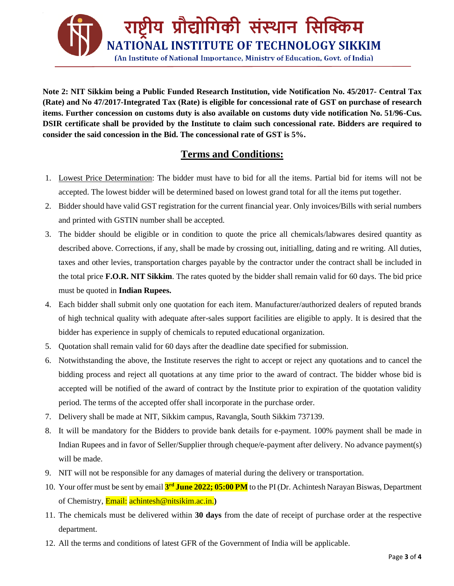

**Note 2: NIT Sikkim being a Public Funded Research Institution, vide Notification No. 45/2017- Central Tax (Rate) and No 47/2017-Integrated Tax (Rate) is eligible for concessional rate of GST on purchase of research items. Further concession on customs duty is also available on customs duty vide notification No. 51/96-Cus. DSIR certificate shall be provided by the Institute to claim such concessional rate. Bidders are required to consider the said concession in the Bid. The concessional rate of GST is 5%.**

### **Terms and Conditions:**

- 1. Lowest Price Determination: The bidder must have to bid for all the items. Partial bid for items will not be accepted. The lowest bidder will be determined based on lowest grand total for all the items put together.
- 2. Bidder should have valid GST registration for the current financial year. Only invoices/Bills with serial numbers and printed with GSTIN number shall be accepted.
- 3. The bidder should be eligible or in condition to quote the price all chemicals/labwares desired quantity as described above. Corrections, if any, shall be made by crossing out, initialling, dating and re writing. All duties, taxes and other levies, transportation charges payable by the contractor under the contract shall be included in the total price **F.O.R. NIT Sikkim**. The rates quoted by the bidder shall remain valid for 60 days. The bid price must be quoted in **Indian Rupees.**
- 4. Each bidder shall submit only one quotation for each item. Manufacturer/authorized dealers of reputed brands of high technical quality with adequate after-sales support facilities are eligible to apply. It is desired that the bidder has experience in supply of chemicals to reputed educational organization.
- 5. Quotation shall remain valid for 60 days after the deadline date specified for submission.
- 6. Notwithstanding the above, the Institute reserves the right to accept or reject any quotations and to cancel the bidding process and reject all quotations at any time prior to the award of contract. The bidder whose bid is accepted will be notified of the award of contract by the Institute prior to expiration of the quotation validity period. The terms of the accepted offer shall incorporate in the purchase order.
- 7. Delivery shall be made at NIT, Sikkim campus, Ravangla, South Sikkim 737139.
- 8. It will be mandatory for the Bidders to provide bank details for e-payment. 100% payment shall be made in Indian Rupees and in favor of Seller/Supplier through cheque/e-payment after delivery. No advance payment(s) will be made.
- 9. NIT will not be responsible for any damages of material during the delivery or transportation.
- 10. Your offer must be sent by email **3 rd June 2022; 05:00 PM** to the PI (Dr. Achintesh Narayan Biswas, Department of Chemistry, Email: achintesh@nitsikim.ac.in.**)**
- 11. The chemicals must be delivered within **30 days** from the date of receipt of purchase order at the respective department.
- 12. All the terms and conditions of latest GFR of the Government of India will be applicable.